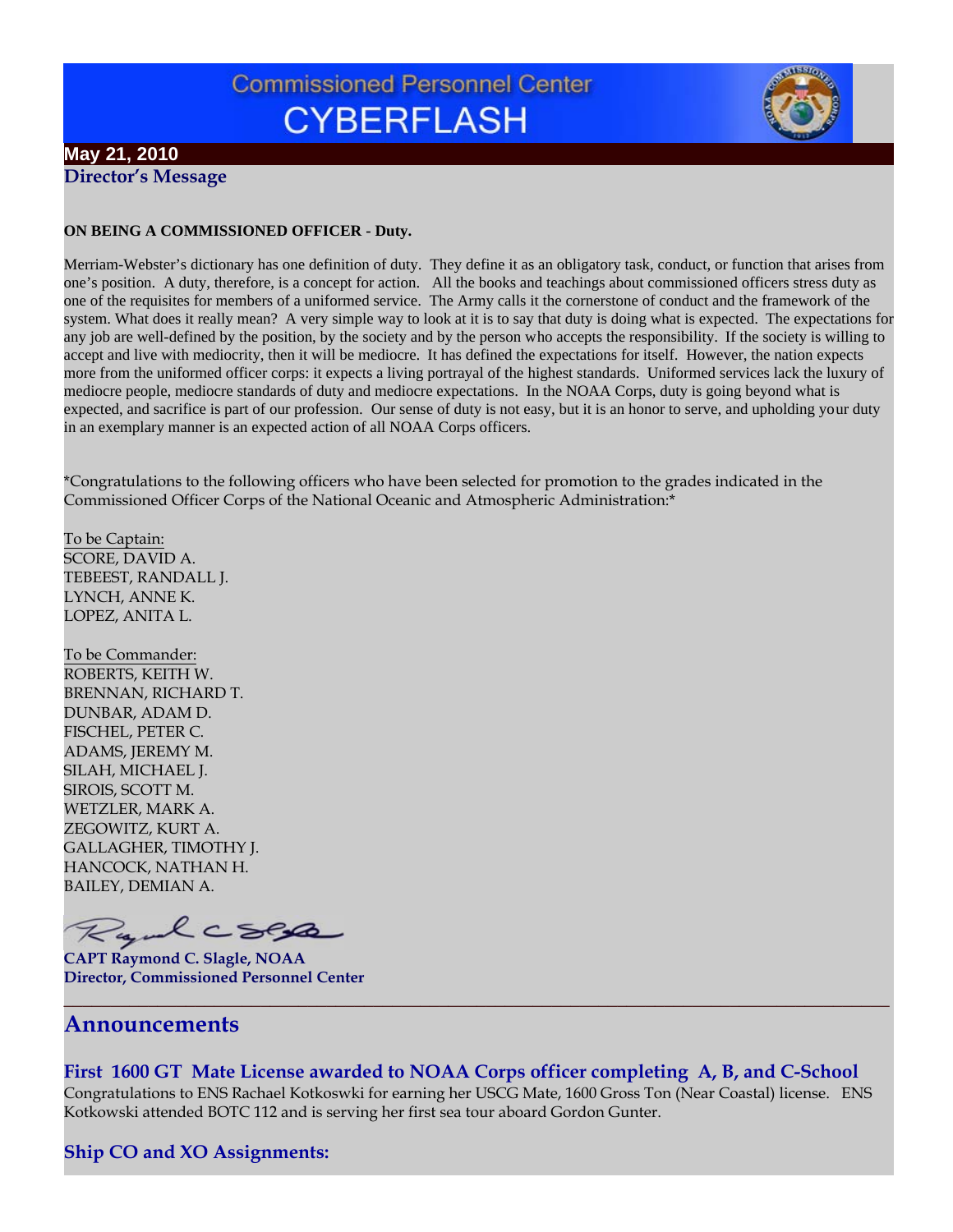

### **May 21, 2010 Director's Message**

#### **ON BEING A COMMISSIONED OFFICER - Duty.**

Merriam-Webster's dictionary has one definition of duty. They define it as an obligatory task, conduct, or function that arises from one's position. A duty, therefore, is a concept for action. All the books and teachings about commissioned officers stress duty as one of the requisites for members of a uniformed service. The Army calls it the cornerstone of conduct and the framework of the system. What does it really mean? A very simple way to look at it is to say that duty is doing what is expected. The expectations for any job are well-defined by the position, by the society and by the person who accepts the responsibility. If the society is willing to accept and live with mediocrity, then it will be mediocre. It has defined the expectations for itself. However, the nation expects more from the uniformed officer corps: it expects a living portrayal of the highest standards. Uniformed services lack the luxury of mediocre people, mediocre standards of duty and mediocre expectations. In the NOAA Corps, duty is going beyond what is expected, and sacrifice is part of our profession. Our sense of duty is not easy, but it is an honor to serve, and upholding your duty in an exemplary manner is an expected action of all NOAA Corps officers.

\*Congratulations to the following officers who have been selected for promotion to the grades indicated in the Commissioned Officer Corps of the National Oceanic and Atmospheric Administration:\*

To be Captain: SCORE, DAVID A. TEBEEST, RANDALL J. LYNCH, ANNE K. LOPEZ, ANITA L.

To be Commander: ROBERTS, KEITH W. BRENNAN, RICHARD T. DUNBAR, ADAM D. FISCHEL, PETER C. ADAMS, JEREMY M. SILAH, MICHAEL J. SIROIS, SCOTT M. WETZLER, MARK A. ZEGOWITZ, KURT A. GALLAGHER, TIMOTHY J. HANCOCK, NATHAN H. BAILEY, DEMIAN A.

Ryal CS&

**CAPT Raymond C. Slagle, NOAA Director, Commissioned Personnel Center**

# **Announcements**

# **First 1600 GT Mate License awarded to NOAA Corps officer completing A, B, and C-School**

**\_\_\_\_\_\_\_\_\_\_\_\_\_\_\_\_\_\_\_\_\_\_\_\_\_\_\_\_\_\_\_\_\_\_\_\_\_\_\_\_\_\_\_\_\_\_\_\_\_\_\_\_\_\_\_\_\_\_\_\_\_\_\_\_\_\_\_\_\_\_\_\_\_\_\_\_\_\_\_\_\_\_\_\_\_\_\_\_**

Congratulations to ENS Rachael Kotkoswki for earning her USCG Mate, 1600 Gross Ton (Near Coastal) license. ENS Kotkowski attended BOTC 112 and is serving her first sea tour aboard Gordon Gunter.

# **Ship CO and XO Assignments:**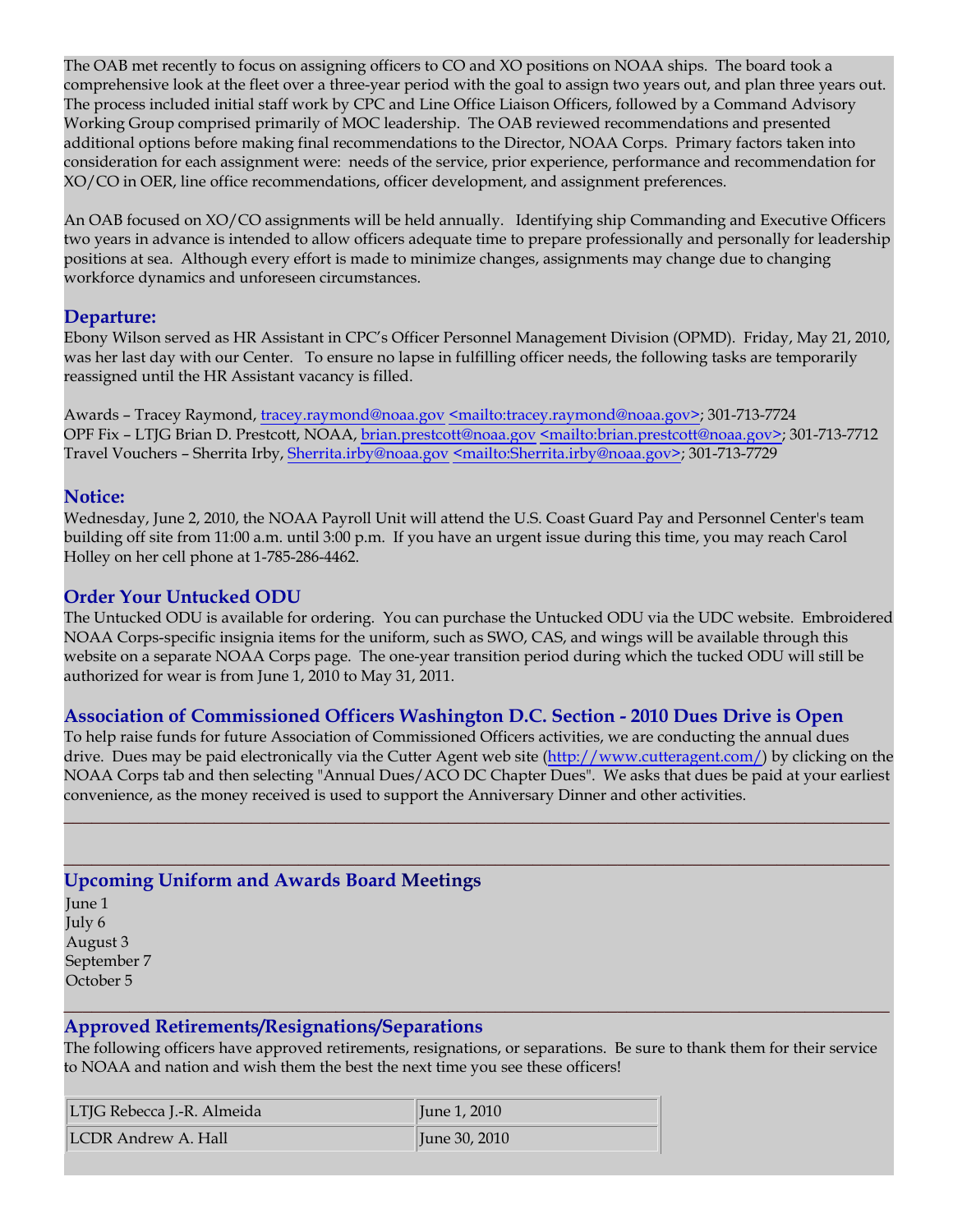The OAB met recently to focus on assigning officers to CO and XO positions on NOAA ships. The board took a comprehensive look at the fleet over a three-year period with the goal to assign two years out, and plan three years out. The process included initial staff work by CPC and Line Office Liaison Officers, followed by a Command Advisory Working Group comprised primarily of MOC leadership. The OAB reviewed recommendations and presented additional options before making final recommendations to the Director, NOAA Corps. Primary factors taken into consideration for each assignment were: needs of the service, prior experience, performance and recommendation for XO/CO in OER, line office recommendations, officer development, and assignment preferences.

An OAB focused on XO/CO assignments will be held annually. Identifying ship Commanding and Executive Officers two years in advance is intended to allow officers adequate time to prepare professionally and personally for leadership positions at sea. Although every effort is made to minimize changes, assignments may change due to changing workforce dynamics and unforeseen circumstances.

# **Departure:**

Ebony Wilson served as HR Assistant in CPC's Officer Personnel Management Division (OPMD). Friday, May 21, 2010, was her last day with our Center. To ensure no lapse in fulfilling officer needs, the following tasks are temporarily reassigned until the HR Assistant vacancy is filled.

Awards – Tracey Raymond, tracey.raymond@noaa.gov <mailto:tracey.raymond@noaa.gov>; 301-713-7724 OPF Fix – LTJG Brian D. Prestcott, NOAA, brian.prestcott@noaa.gov <mailto:brian.prestcott@noaa.gov>; 301-713-7712 Travel Vouchers – Sherrita Irby, Sherrita.irby@noaa.gov <mailto:Sherrita.irby@noaa.gov>; 301-713-7729

# **Notice:**

Wednesday, June 2, 2010, the NOAA Payroll Unit will attend the U.S. Coast Guard Pay and Personnel Center's team building off site from 11:00 a.m. until 3:00 p.m. If you have an urgent issue during this time, you may reach Carol Holley on her cell phone at 1-785-286-4462.

# **Order Your Untucked ODU**

The Untucked ODU is available for ordering. You can purchase the Untucked ODU via the UDC website. Embroidered NOAA Corps-specific insignia items for the uniform, such as SWO, CAS, and wings will be available through this website on a separate NOAA Corps page. The one-year transition period during which the tucked ODU will still be authorized for wear is from June 1, 2010 to May 31, 2011.

### **Association of Commissioned Officers Washington D.C. Section - 2010 Dues Drive is Open**

To help raise funds for future Association of Commissioned Officers activities, we are conducting the annual dues drive. Dues may be paid electronically via the Cutter Agent web site (http://www.cutteragent.com/) by clicking on the NOAA Corps tab and then selecting "Annual Dues/ACO DC Chapter Dues". We asks that dues be paid at your earliest convenience, as the money received is used to support the Anniversary Dinner and other activities.

**\_\_\_\_\_\_\_\_\_\_\_\_\_\_\_\_\_\_\_\_\_\_\_\_\_\_\_\_\_\_\_\_\_\_\_\_\_\_\_\_\_\_\_\_\_\_\_\_\_\_\_\_\_\_\_\_\_\_\_\_\_\_\_\_\_\_\_\_\_\_\_\_\_\_\_\_\_\_\_\_\_\_\_\_\_\_\_\_**

**\_\_\_\_\_\_\_\_\_\_\_\_\_\_\_\_\_\_\_\_\_\_\_\_\_\_\_\_\_\_\_\_\_\_\_\_\_\_\_\_\_\_\_\_\_\_\_\_\_\_\_\_\_\_\_\_\_\_\_\_\_\_\_\_\_\_\_\_\_\_\_\_\_\_\_\_\_\_\_\_\_\_\_\_\_\_\_\_**

### **Upcoming Uniform and Awards Board Meetings**

June 1 July 6 August 3 September 7 October 5

### **Approved Retirements/Resignations/Separations**

The following officers have approved retirements, resignations, or separations. Be sure to thank them for their service to NOAA and nation and wish them the best the next time you see these officers!

**\_\_\_\_\_\_\_\_\_\_\_\_\_\_\_\_\_\_\_\_\_\_\_\_\_\_\_\_\_\_\_\_\_\_\_\_\_\_\_\_\_\_\_\_\_\_\_\_\_\_\_\_\_\_\_\_\_\_\_\_\_\_\_\_\_\_\_\_\_\_\_\_\_\_\_\_\_\_\_\_\_\_\_\_\_\_\_\_**

| LTJG Rebecca J.-R. Almeida | June 1, 2010  |
|----------------------------|---------------|
| LCDR Andrew A. Hall        | June 30, 2010 |